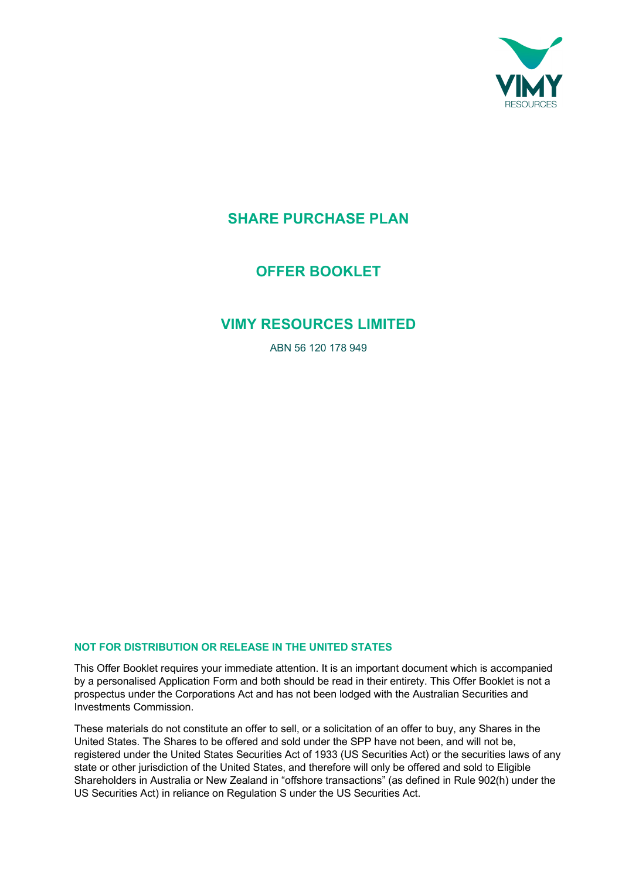

# **SHARE PURCHASE PLAN**

**OFFER BOOKLET**

# **VIMY RESOURCES LIMITED**

ABN 56 120 178 949

## **NOT FOR DISTRIBUTION OR RELEASE IN THE UNITED STATES**

This Offer Booklet requires your immediate attention. It is an important document which is accompanied by a personalised Application Form and both should be read in their entirety. This Offer Booklet is not a prospectus under the Corporations Act and has not been lodged with the Australian Securities and Investments Commission.

These materials do not constitute an offer to sell, or a solicitation of an offer to buy, any Shares in the United States. The Shares to be offered and sold under the SPP have not been, and will not be, registered under the United States Securities Act of 1933 (US Securities Act) or the securities laws of any state or other jurisdiction of the United States, and therefore will only be offered and sold to Eligible Shareholders in Australia or New Zealand in "offshore transactions" (as defined in Rule 902(h) under the US Securities Act) in reliance on Regulation S under the US Securities Act.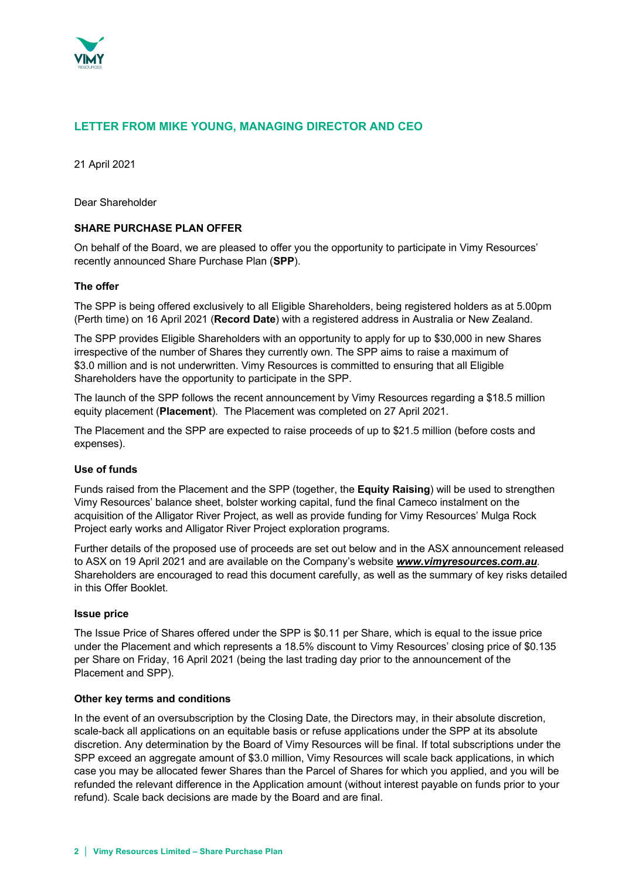

## **LETTER FROM MIKE YOUNG, MANAGING DIRECTOR AND CEO**

21 April 2021

Dear Shareholder

## **SHARE PURCHASE PLAN OFFER**

On behalf of the Board, we are pleased to offer you the opportunity to participate in Vimy Resources' recently announced Share Purchase Plan (**SPP**).

#### **The offer**

The SPP is being offered exclusively to all Eligible Shareholders, being registered holders as at 5.00pm (Perth time) on 16 April 2021 (**Record Date**) with a registered address in Australia or New Zealand.

The SPP provides Eligible Shareholders with an opportunity to apply for up to \$30,000 in new Shares irrespective of the number of Shares they currently own. The SPP aims to raise a maximum of \$3.0 million and is not underwritten. Vimy Resources is committed to ensuring that all Eligible Shareholders have the opportunity to participate in the SPP.

The launch of the SPP follows the recent announcement by Vimy Resources regarding a \$18.5 million equity placement (**Placement**). The Placement was completed on 27 April 2021.

The Placement and the SPP are expected to raise proceeds of up to \$21.5 million (before costs and expenses).

#### **Use of funds**

Funds raised from the Placement and the SPP (together, the **Equity Raising**) will be used to strengthen Vimy Resources' balance sheet, bolster working capital, fund the final Cameco instalment on the acquisition of the Alligator River Project, as well as provide funding for Vimy Resources' Mulga Rock Project early works and Alligator River Project exploration programs.

Further details of the proposed use of proceeds are set out below and in the ASX announcement released to ASX on 19 April 2021 and are available on the Company's website *www.vimyresources.com.au*. Shareholders are encouraged to read this document carefully, as well as the summary of key risks detailed in this Offer Booklet.

#### **Issue price**

The Issue Price of Shares offered under the SPP is \$0.11 per Share, which is equal to the issue price under the Placement and which represents a 18.5% discount to Vimy Resources' closing price of \$0.135 per Share on Friday, 16 April 2021 (being the last trading day prior to the announcement of the Placement and SPP).

#### **Other key terms and conditions**

In the event of an oversubscription by the Closing Date, the Directors may, in their absolute discretion, scale-back all applications on an equitable basis or refuse applications under the SPP at its absolute discretion. Any determination by the Board of Vimy Resources will be final. If total subscriptions under the SPP exceed an aggregate amount of \$3.0 million, Vimy Resources will scale back applications, in which case you may be allocated fewer Shares than the Parcel of Shares for which you applied, and you will be refunded the relevant difference in the Application amount (without interest payable on funds prior to your refund). Scale back decisions are made by the Board and are final.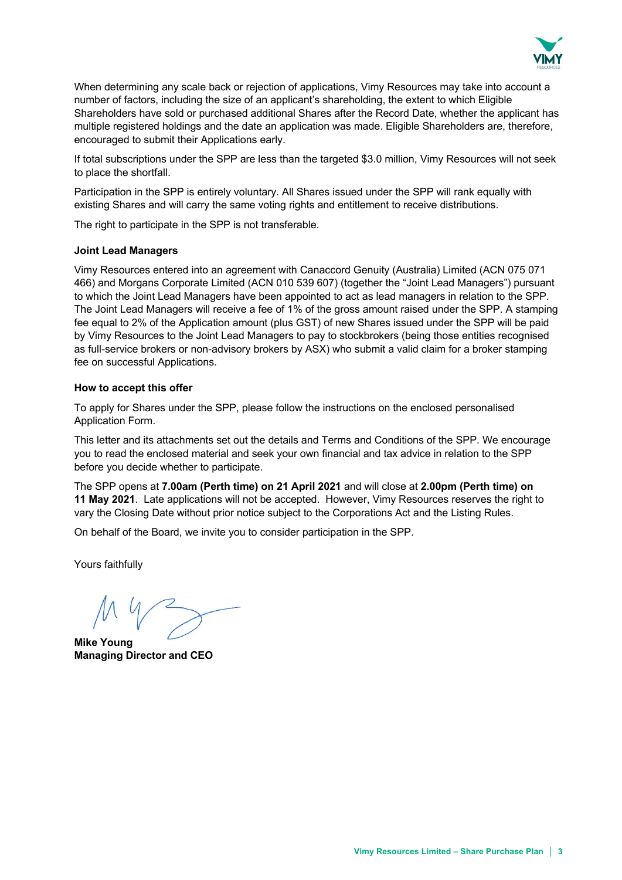

When determining any scale back or rejection of applications, Vimy Resources may take into account a number of factors, including the size of an applicant's shareholding, the extent to which Eligible Shareholders have sold or purchased additional Shares after the Record Date, whether the applicant has multiple registered holdings and the date an application was made. Eligible Shareholders are, therefore, encouraged to submit their Applications early.

If total subscriptions under the SPP are less than the targeted \$3.0 million, Vimy Resources will not seek to place the shortfall.

Participation in the SPP is entirely voluntary. All Shares issued under the SPP will rank equally with existing Shares and will carry the same voting rights and entitlement to receive distributions.

The right to participate in the SPP is not transferable.

#### **Joint Lead Managers**

Vimy Resources entered into an agreement with Canaccord Genuity (Australia) Limited (ACN 075 071 466) and Morgans Corporate Limited (ACN 010 539 607) (together the "Joint Lead Managers") pursuant to which the Joint Lead Managers have been appointed to act as lead managers in relation to the SPP. The Joint Lead Managers will receive a fee of 1% of the gross amount raised under the SPP. A stamping fee equal to 2% of the Application amount (plus GST) of new Shares issued under the SPP will be paid by Vimy Resources to the Joint Lead Managers to pay to stockbrokers (being those entities recognised as full-service brokers or non-advisory brokers by ASX) who submit a valid claim for a broker stamping fee on successful Applications.

#### **How to accept this offer**

To apply for Shares under the SPP, please follow the instructions on the enclosed personalised Application Form.

This letter and its attachments set out the details and Terms and Conditions of the SPP. We encourage you to read the enclosed material and seek your own financial and tax advice in relation to the SPP before you decide whether to participate.

The SPP opens at **7.00am (Perth time) on 21 April 2021** and will close at **2.00pm (Perth time) on 11 May 2021**. Late applications will not be accepted. However, Vimy Resources reserves the right to vary the Closing Date without prior notice subject to the Corporations Act and the Listing Rules.

On behalf of the Board, we invite you to consider participation in the SPP.

Yours faithfully

**Mike Young Managing Director and CEO**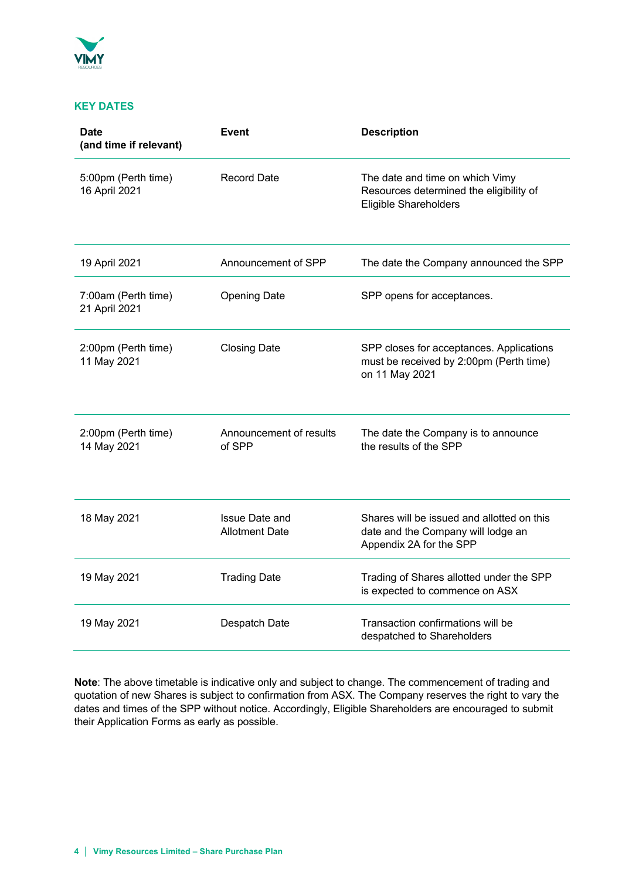

## **KEY DATES**

| <b>Date</b><br>(and time if relevant) | Event                                          | <b>Description</b>                                                                                          |
|---------------------------------------|------------------------------------------------|-------------------------------------------------------------------------------------------------------------|
| 5:00pm (Perth time)<br>16 April 2021  | <b>Record Date</b>                             | The date and time on which Vimy<br>Resources determined the eligibility of<br>Eligible Shareholders         |
| 19 April 2021                         | Announcement of SPP                            | The date the Company announced the SPP                                                                      |
| 7:00am (Perth time)<br>21 April 2021  | <b>Opening Date</b>                            | SPP opens for acceptances.                                                                                  |
| 2:00pm (Perth time)<br>11 May 2021    | <b>Closing Date</b>                            | SPP closes for acceptances. Applications<br>must be received by 2:00pm (Perth time)<br>on 11 May 2021       |
| 2:00pm (Perth time)<br>14 May 2021    | Announcement of results<br>of SPP              | The date the Company is to announce<br>the results of the SPP                                               |
| 18 May 2021                           | <b>Issue Date and</b><br><b>Allotment Date</b> | Shares will be issued and allotted on this<br>date and the Company will lodge an<br>Appendix 2A for the SPP |
| 19 May 2021                           | <b>Trading Date</b>                            | Trading of Shares allotted under the SPP<br>is expected to commence on ASX                                  |
| 19 May 2021                           | Despatch Date                                  | Transaction confirmations will be<br>despatched to Shareholders                                             |

**Note**: The above timetable is indicative only and subject to change. The commencement of trading and quotation of new Shares is subject to confirmation from ASX. The Company reserves the right to vary the dates and times of the SPP without notice. Accordingly, Eligible Shareholders are encouraged to submit their Application Forms as early as possible.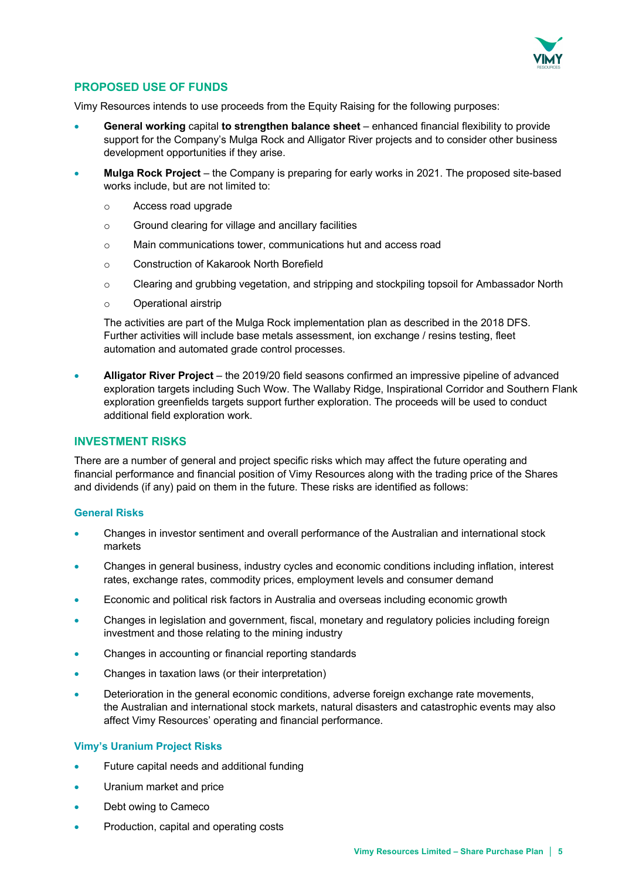

## **PROPOSED USE OF FUNDS**

Vimy Resources intends to use proceeds from the Equity Raising for the following purposes:

- **General working** capital **to strengthen balance sheet** enhanced financial flexibility to provide support for the Company's Mulga Rock and Alligator River projects and to consider other business development opportunities if they arise.
- **Mulga Rock Project** the Company is preparing for early works in 2021. The proposed site-based works include, but are not limited to:
	- o Access road upgrade
	- o Ground clearing for village and ancillary facilities
	- o Main communications tower, communications hut and access road
	- o Construction of Kakarook North Borefield
	- o Clearing and grubbing vegetation, and stripping and stockpiling topsoil for Ambassador North
	- o Operational airstrip

The activities are part of the Mulga Rock implementation plan as described in the 2018 DFS. Further activities will include base metals assessment, ion exchange / resins testing, fleet automation and automated grade control processes.

• **Alligator River Project** – the 2019/20 field seasons confirmed an impressive pipeline of advanced exploration targets including Such Wow. The Wallaby Ridge, Inspirational Corridor and Southern Flank exploration greenfields targets support further exploration. The proceeds will be used to conduct additional field exploration work.

## **INVESTMENT RISKS**

There are a number of general and project specific risks which may affect the future operating and financial performance and financial position of Vimy Resources along with the trading price of the Shares and dividends (if any) paid on them in the future. These risks are identified as follows:

## **General Risks**

- Changes in investor sentiment and overall performance of the Australian and international stock markets
- Changes in general business, industry cycles and economic conditions including inflation, interest rates, exchange rates, commodity prices, employment levels and consumer demand
- Economic and political risk factors in Australia and overseas including economic growth
- Changes in legislation and government, fiscal, monetary and regulatory policies including foreign investment and those relating to the mining industry
- Changes in accounting or financial reporting standards
- Changes in taxation laws (or their interpretation)
- Deterioration in the general economic conditions, adverse foreign exchange rate movements, the Australian and international stock markets, natural disasters and catastrophic events may also affect Vimy Resources' operating and financial performance.

## **Vimy's Uranium Project Risks**

- Future capital needs and additional funding
- Uranium market and price
- Debt owing to Cameco
- Production, capital and operating costs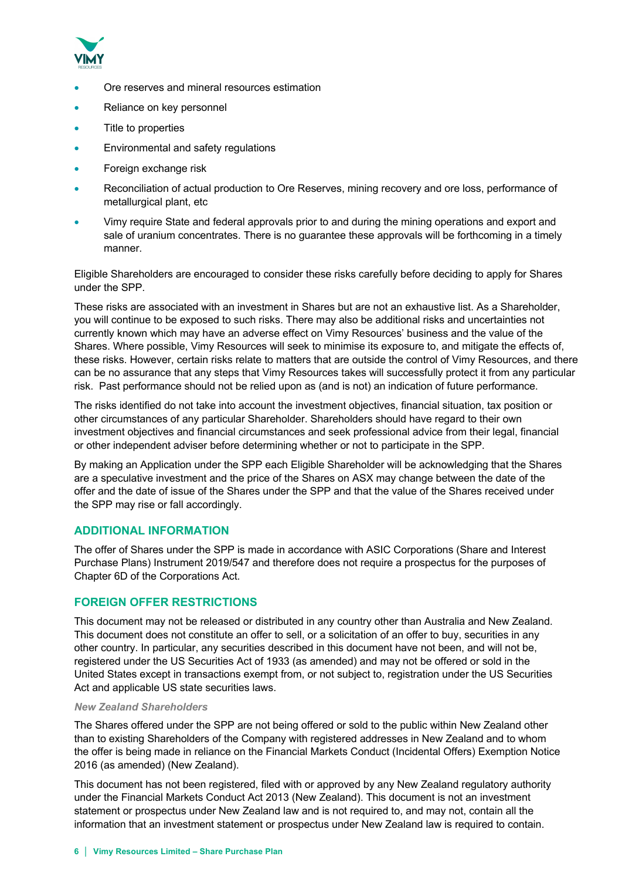

- Ore reserves and mineral resources estimation
- Reliance on key personnel
- Title to properties
- Environmental and safety regulations
- Foreign exchange risk
- Reconciliation of actual production to Ore Reserves, mining recovery and ore loss, performance of metallurgical plant, etc
- Vimy require State and federal approvals prior to and during the mining operations and export and sale of uranium concentrates. There is no guarantee these approvals will be forthcoming in a timely manner.

Eligible Shareholders are encouraged to consider these risks carefully before deciding to apply for Shares under the SPP.

These risks are associated with an investment in Shares but are not an exhaustive list. As a Shareholder, you will continue to be exposed to such risks. There may also be additional risks and uncertainties not currently known which may have an adverse effect on Vimy Resources' business and the value of the Shares. Where possible, Vimy Resources will seek to minimise its exposure to, and mitigate the effects of, these risks. However, certain risks relate to matters that are outside the control of Vimy Resources, and there can be no assurance that any steps that Vimy Resources takes will successfully protect it from any particular risk. Past performance should not be relied upon as (and is not) an indication of future performance.

The risks identified do not take into account the investment objectives, financial situation, tax position or other circumstances of any particular Shareholder. Shareholders should have regard to their own investment objectives and financial circumstances and seek professional advice from their legal, financial or other independent adviser before determining whether or not to participate in the SPP.

By making an Application under the SPP each Eligible Shareholder will be acknowledging that the Shares are a speculative investment and the price of the Shares on ASX may change between the date of the offer and the date of issue of the Shares under the SPP and that the value of the Shares received under the SPP may rise or fall accordingly.

## **ADDITIONAL INFORMATION**

The offer of Shares under the SPP is made in accordance with ASIC Corporations (Share and Interest Purchase Plans) Instrument 2019/547 and therefore does not require a prospectus for the purposes of Chapter 6D of the Corporations Act.

## **FOREIGN OFFER RESTRICTIONS**

This document may not be released or distributed in any country other than Australia and New Zealand. This document does not constitute an offer to sell, or a solicitation of an offer to buy, securities in any other country. In particular, any securities described in this document have not been, and will not be, registered under the US Securities Act of 1933 (as amended) and may not be offered or sold in the United States except in transactions exempt from, or not subject to, registration under the US Securities Act and applicable US state securities laws.

#### *New Zealand Shareholders*

The Shares offered under the SPP are not being offered or sold to the public within New Zealand other than to existing Shareholders of the Company with registered addresses in New Zealand and to whom the offer is being made in reliance on the Financial Markets Conduct (Incidental Offers) Exemption Notice 2016 (as amended) (New Zealand).

This document has not been registered, filed with or approved by any New Zealand regulatory authority under the Financial Markets Conduct Act 2013 (New Zealand). This document is not an investment statement or prospectus under New Zealand law and is not required to, and may not, contain all the information that an investment statement or prospectus under New Zealand law is required to contain.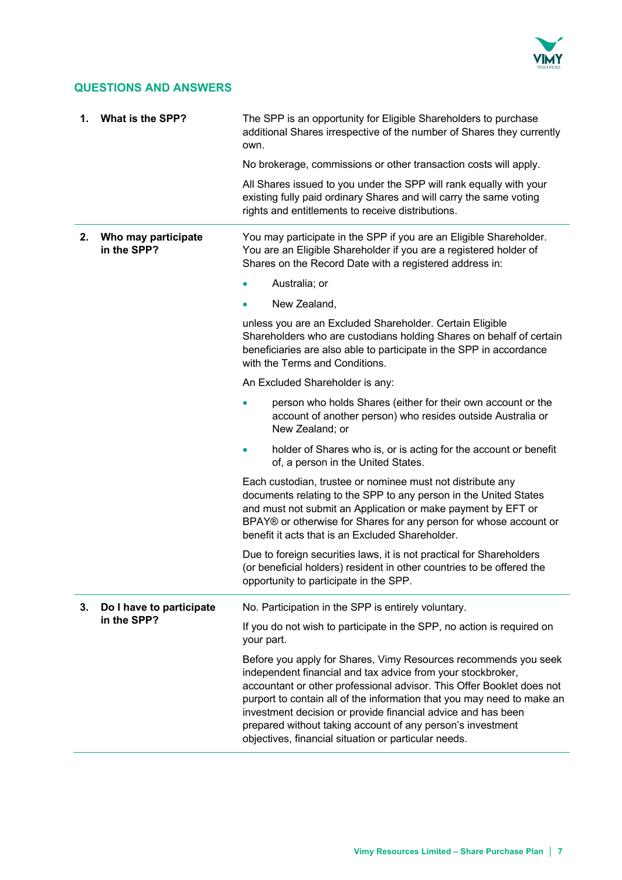

## **QUESTIONS AND ANSWERS**

| 1. | What is the SPP?                   | The SPP is an opportunity for Eligible Shareholders to purchase<br>additional Shares irrespective of the number of Shares they currently<br>own.                                                                                                                                                                                                                                                                                                                        |
|----|------------------------------------|-------------------------------------------------------------------------------------------------------------------------------------------------------------------------------------------------------------------------------------------------------------------------------------------------------------------------------------------------------------------------------------------------------------------------------------------------------------------------|
|    |                                    | No brokerage, commissions or other transaction costs will apply.                                                                                                                                                                                                                                                                                                                                                                                                        |
|    |                                    | All Shares issued to you under the SPP will rank equally with your<br>existing fully paid ordinary Shares and will carry the same voting<br>rights and entitlements to receive distributions.                                                                                                                                                                                                                                                                           |
| 2. | Who may participate<br>in the SPP? | You may participate in the SPP if you are an Eligible Shareholder.<br>You are an Eligible Shareholder if you are a registered holder of<br>Shares on the Record Date with a registered address in:                                                                                                                                                                                                                                                                      |
|    |                                    | Australia; or                                                                                                                                                                                                                                                                                                                                                                                                                                                           |
|    |                                    | New Zealand,<br>۰                                                                                                                                                                                                                                                                                                                                                                                                                                                       |
|    |                                    | unless you are an Excluded Shareholder. Certain Eligible<br>Shareholders who are custodians holding Shares on behalf of certain<br>beneficiaries are also able to participate in the SPP in accordance<br>with the Terms and Conditions.                                                                                                                                                                                                                                |
|    |                                    | An Excluded Shareholder is any:                                                                                                                                                                                                                                                                                                                                                                                                                                         |
|    |                                    | person who holds Shares (either for their own account or the<br>account of another person) who resides outside Australia or<br>New Zealand; or                                                                                                                                                                                                                                                                                                                          |
|    |                                    | holder of Shares who is, or is acting for the account or benefit<br>of, a person in the United States.                                                                                                                                                                                                                                                                                                                                                                  |
|    |                                    | Each custodian, trustee or nominee must not distribute any<br>documents relating to the SPP to any person in the United States<br>and must not submit an Application or make payment by EFT or<br>BPAY® or otherwise for Shares for any person for whose account or<br>benefit it acts that is an Excluded Shareholder.                                                                                                                                                 |
|    |                                    | Due to foreign securities laws, it is not practical for Shareholders<br>(or beneficial holders) resident in other countries to be offered the<br>opportunity to participate in the SPP.                                                                                                                                                                                                                                                                                 |
| 3. | Do I have to participate           | No. Participation in the SPP is entirely voluntary.                                                                                                                                                                                                                                                                                                                                                                                                                     |
|    | in the SPP?                        | If you do not wish to participate in the SPP, no action is required on<br>your part.                                                                                                                                                                                                                                                                                                                                                                                    |
|    |                                    | Before you apply for Shares, Vimy Resources recommends you seek<br>independent financial and tax advice from your stockbroker,<br>accountant or other professional advisor. This Offer Booklet does not<br>purport to contain all of the information that you may need to make an<br>investment decision or provide financial advice and has been<br>prepared without taking account of any person's investment<br>objectives, financial situation or particular needs. |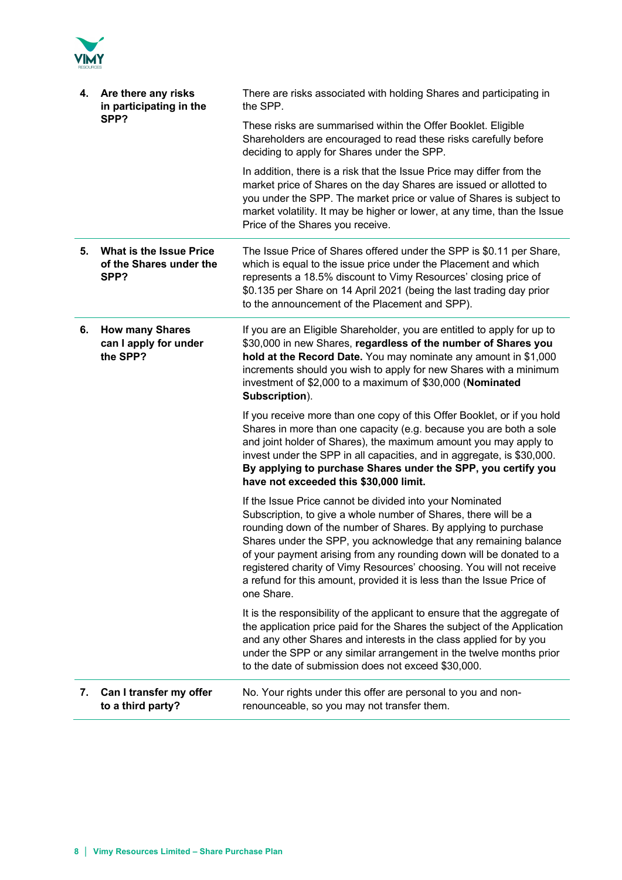

| 4. | Are there any risks<br>in participating in the<br>SPP?            | There are risks associated with holding Shares and participating in<br>the SPP.                                                                                                                                                                                                                                                                                                                                                                                                                         |
|----|-------------------------------------------------------------------|---------------------------------------------------------------------------------------------------------------------------------------------------------------------------------------------------------------------------------------------------------------------------------------------------------------------------------------------------------------------------------------------------------------------------------------------------------------------------------------------------------|
|    |                                                                   | These risks are summarised within the Offer Booklet. Eligible<br>Shareholders are encouraged to read these risks carefully before<br>deciding to apply for Shares under the SPP.                                                                                                                                                                                                                                                                                                                        |
|    |                                                                   | In addition, there is a risk that the Issue Price may differ from the<br>market price of Shares on the day Shares are issued or allotted to<br>you under the SPP. The market price or value of Shares is subject to<br>market volatility. It may be higher or lower, at any time, than the Issue<br>Price of the Shares you receive.                                                                                                                                                                    |
| 5. | <b>What is the Issue Price</b><br>of the Shares under the<br>SPP? | The Issue Price of Shares offered under the SPP is \$0.11 per Share,<br>which is equal to the issue price under the Placement and which<br>represents a 18.5% discount to Vimy Resources' closing price of<br>\$0.135 per Share on 14 April 2021 (being the last trading day prior<br>to the announcement of the Placement and SPP).                                                                                                                                                                    |
| 6. | <b>How many Shares</b><br>can I apply for under<br>the SPP?       | If you are an Eligible Shareholder, you are entitled to apply for up to<br>\$30,000 in new Shares, regardless of the number of Shares you<br>hold at the Record Date. You may nominate any amount in \$1,000<br>increments should you wish to apply for new Shares with a minimum<br>investment of \$2,000 to a maximum of \$30,000 (Nominated<br>Subscription).                                                                                                                                        |
|    |                                                                   | If you receive more than one copy of this Offer Booklet, or if you hold<br>Shares in more than one capacity (e.g. because you are both a sole<br>and joint holder of Shares), the maximum amount you may apply to<br>invest under the SPP in all capacities, and in aggregate, is \$30,000.<br>By applying to purchase Shares under the SPP, you certify you<br>have not exceeded this \$30,000 limit.                                                                                                  |
|    |                                                                   | If the Issue Price cannot be divided into your Nominated<br>Subscription, to give a whole number of Shares, there will be a<br>rounding down of the number of Shares. By applying to purchase<br>Shares under the SPP, you acknowledge that any remaining balance<br>of your payment arising from any rounding down will be donated to a<br>registered charity of Vimy Resources' choosing. You will not receive<br>a refund for this amount, provided it is less than the Issue Price of<br>one Share. |
|    |                                                                   | It is the responsibility of the applicant to ensure that the aggregate of<br>the application price paid for the Shares the subject of the Application<br>and any other Shares and interests in the class applied for by you<br>under the SPP or any similar arrangement in the twelve months prior<br>to the date of submission does not exceed \$30,000.                                                                                                                                               |
| 7. | Can I transfer my offer<br>to a third party?                      | No. Your rights under this offer are personal to you and non-<br>renounceable, so you may not transfer them.                                                                                                                                                                                                                                                                                                                                                                                            |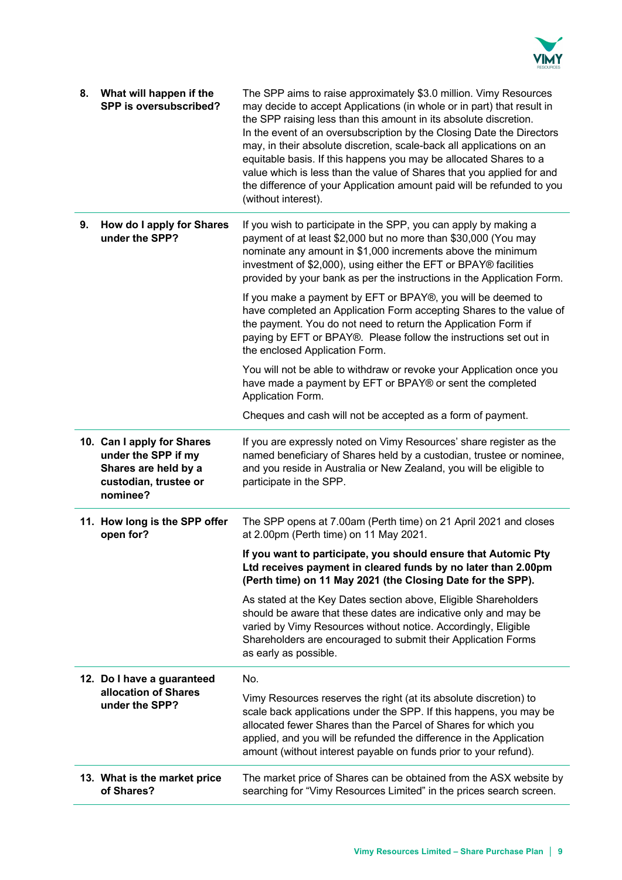

| 8. | What will happen if the<br>SPP is oversubscribed?                                                              | The SPP aims to raise approximately \$3.0 million. Vimy Resources<br>may decide to accept Applications (in whole or in part) that result in<br>the SPP raising less than this amount in its absolute discretion.<br>In the event of an oversubscription by the Closing Date the Directors<br>may, in their absolute discretion, scale-back all applications on an<br>equitable basis. If this happens you may be allocated Shares to a<br>value which is less than the value of Shares that you applied for and<br>the difference of your Application amount paid will be refunded to you<br>(without interest). |
|----|----------------------------------------------------------------------------------------------------------------|------------------------------------------------------------------------------------------------------------------------------------------------------------------------------------------------------------------------------------------------------------------------------------------------------------------------------------------------------------------------------------------------------------------------------------------------------------------------------------------------------------------------------------------------------------------------------------------------------------------|
| 9. | How do I apply for Shares<br>under the SPP?                                                                    | If you wish to participate in the SPP, you can apply by making a<br>payment of at least \$2,000 but no more than \$30,000 (You may<br>nominate any amount in \$1,000 increments above the minimum<br>investment of \$2,000), using either the EFT or BPAY® facilities<br>provided by your bank as per the instructions in the Application Form.                                                                                                                                                                                                                                                                  |
|    |                                                                                                                | If you make a payment by EFT or BPAY®, you will be deemed to<br>have completed an Application Form accepting Shares to the value of<br>the payment. You do not need to return the Application Form if<br>paying by EFT or BPAY®. Please follow the instructions set out in<br>the enclosed Application Form.                                                                                                                                                                                                                                                                                                     |
|    |                                                                                                                | You will not be able to withdraw or revoke your Application once you<br>have made a payment by EFT or BPAY® or sent the completed<br>Application Form.                                                                                                                                                                                                                                                                                                                                                                                                                                                           |
|    |                                                                                                                | Cheques and cash will not be accepted as a form of payment.                                                                                                                                                                                                                                                                                                                                                                                                                                                                                                                                                      |
|    | 10. Can I apply for Shares<br>under the SPP if my<br>Shares are held by a<br>custodian, trustee or<br>nominee? | If you are expressly noted on Vimy Resources' share register as the<br>named beneficiary of Shares held by a custodian, trustee or nominee,<br>and you reside in Australia or New Zealand, you will be eligible to<br>participate in the SPP.                                                                                                                                                                                                                                                                                                                                                                    |
|    | 11. How long is the SPP offer<br>open for?                                                                     | The SPP opens at 7.00am (Perth time) on 21 April 2021 and closes<br>at 2.00pm (Perth time) on 11 May 2021.                                                                                                                                                                                                                                                                                                                                                                                                                                                                                                       |
|    |                                                                                                                | If you want to participate, you should ensure that Automic Pty<br>Ltd receives payment in cleared funds by no later than 2.00pm<br>(Perth time) on 11 May 2021 (the Closing Date for the SPP).                                                                                                                                                                                                                                                                                                                                                                                                                   |
|    |                                                                                                                | As stated at the Key Dates section above, Eligible Shareholders<br>should be aware that these dates are indicative only and may be<br>varied by Vimy Resources without notice. Accordingly, Eligible<br>Shareholders are encouraged to submit their Application Forms<br>as early as possible.                                                                                                                                                                                                                                                                                                                   |
|    | 12. Do I have a guaranteed                                                                                     | No.                                                                                                                                                                                                                                                                                                                                                                                                                                                                                                                                                                                                              |
|    | allocation of Shares<br>under the SPP?                                                                         | Vimy Resources reserves the right (at its absolute discretion) to<br>scale back applications under the SPP. If this happens, you may be<br>allocated fewer Shares than the Parcel of Shares for which you<br>applied, and you will be refunded the difference in the Application<br>amount (without interest payable on funds prior to your refund).                                                                                                                                                                                                                                                             |
|    | 13. What is the market price<br>of Shares?                                                                     | The market price of Shares can be obtained from the ASX website by<br>searching for "Vimy Resources Limited" in the prices search screen.                                                                                                                                                                                                                                                                                                                                                                                                                                                                        |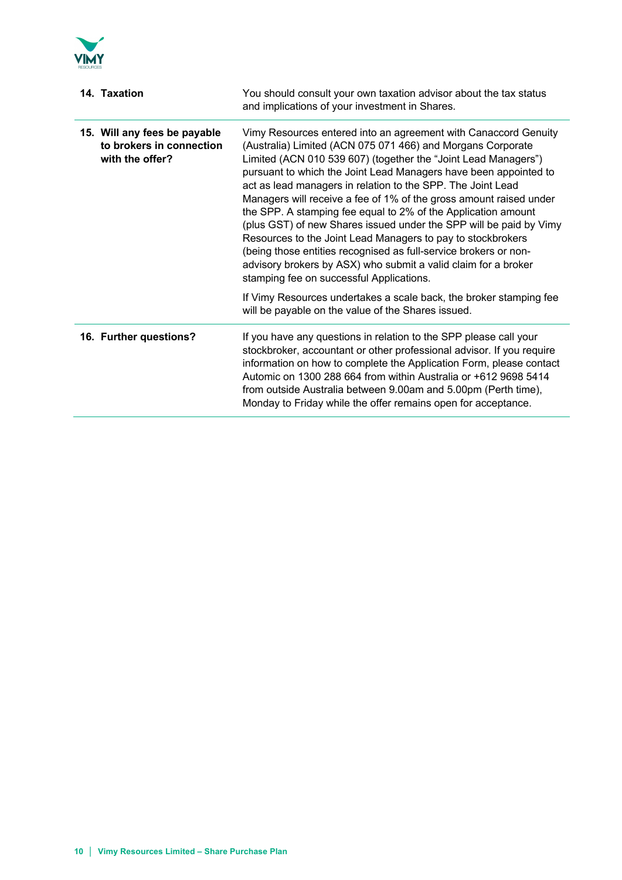

| 14. Taxation                                                                | You should consult your own taxation advisor about the tax status<br>and implications of your investment in Shares.                                                                                                                                                                                                                                                                                                                                                                                                                                                                                                                                                                                                                                                                               |
|-----------------------------------------------------------------------------|---------------------------------------------------------------------------------------------------------------------------------------------------------------------------------------------------------------------------------------------------------------------------------------------------------------------------------------------------------------------------------------------------------------------------------------------------------------------------------------------------------------------------------------------------------------------------------------------------------------------------------------------------------------------------------------------------------------------------------------------------------------------------------------------------|
| 15. Will any fees be payable<br>to brokers in connection<br>with the offer? | Vimy Resources entered into an agreement with Canaccord Genuity<br>(Australia) Limited (ACN 075 071 466) and Morgans Corporate<br>Limited (ACN 010 539 607) (together the "Joint Lead Managers")<br>pursuant to which the Joint Lead Managers have been appointed to<br>act as lead managers in relation to the SPP. The Joint Lead<br>Managers will receive a fee of 1% of the gross amount raised under<br>the SPP. A stamping fee equal to 2% of the Application amount<br>(plus GST) of new Shares issued under the SPP will be paid by Vimy<br>Resources to the Joint Lead Managers to pay to stockbrokers<br>(being those entities recognised as full-service brokers or non-<br>advisory brokers by ASX) who submit a valid claim for a broker<br>stamping fee on successful Applications. |
|                                                                             | If Vimy Resources undertakes a scale back, the broker stamping fee<br>will be payable on the value of the Shares issued.                                                                                                                                                                                                                                                                                                                                                                                                                                                                                                                                                                                                                                                                          |
| 16. Further questions?                                                      | If you have any questions in relation to the SPP please call your<br>stockbroker, accountant or other professional advisor. If you require<br>information on how to complete the Application Form, please contact<br>Automic on 1300 288 664 from within Australia or +612 9698 5414<br>from outside Australia between 9.00am and 5.00pm (Perth time),<br>Monday to Friday while the offer remains open for acceptance.                                                                                                                                                                                                                                                                                                                                                                           |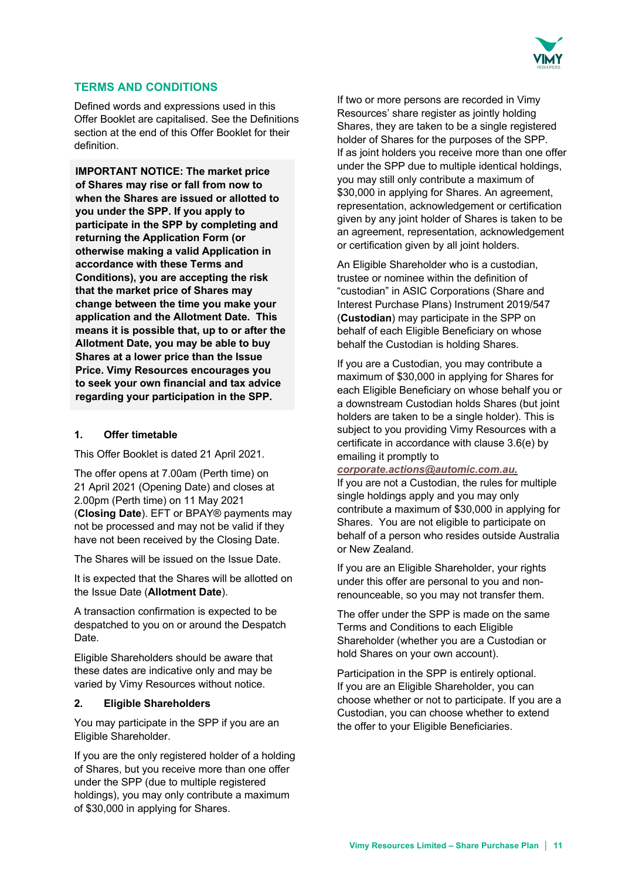

## **TERMS AND CONDITIONS**

Defined words and expressions used in this Offer Booklet are capitalised. See the Definitions section at the end of this Offer Booklet for their definition.

**IMPORTANT NOTICE: The market price of Shares may rise or fall from now to when the Shares are issued or allotted to you under the SPP. If you apply to participate in the SPP by completing and returning the Application Form (or otherwise making a valid Application in accordance with these Terms and Conditions), you are accepting the risk that the market price of Shares may change between the time you make your application and the Allotment Date. This means it is possible that, up to or after the Allotment Date, you may be able to buy Shares at a lower price than the Issue Price. Vimy Resources encourages you to seek your own financial and tax advice regarding your participation in the SPP.**

## **1. Offer timetable**

This Offer Booklet is dated 21 April 2021.

The offer opens at 7.00am (Perth time) on 21 April 2021 (Opening Date) and closes at 2.00pm (Perth time) on 11 May 2021 (**Closing Date**). EFT or BPAY® payments may not be processed and may not be valid if they have not been received by the Closing Date.

The Shares will be issued on the Issue Date.

It is expected that the Shares will be allotted on the Issue Date (**Allotment Date**).

A transaction confirmation is expected to be despatched to you on or around the Despatch Date.

Eligible Shareholders should be aware that these dates are indicative only and may be varied by Vimy Resources without notice.

## **2. Eligible Shareholders**

You may participate in the SPP if you are an Eligible Shareholder.

If you are the only registered holder of a holding of Shares, but you receive more than one offer under the SPP (due to multiple registered holdings), you may only contribute a maximum of \$30,000 in applying for Shares.

If two or more persons are recorded in Vimy Resources' share register as jointly holding Shares, they are taken to be a single registered holder of Shares for the purposes of the SPP. If as joint holders you receive more than one offer under the SPP due to multiple identical holdings, you may still only contribute a maximum of \$30,000 in applying for Shares. An agreement, representation, acknowledgement or certification given by any joint holder of Shares is taken to be an agreement, representation, acknowledgement or certification given by all joint holders.

An Eligible Shareholder who is a custodian, trustee or nominee within the definition of "custodian" in ASIC Corporations (Share and Interest Purchase Plans) Instrument 2019/547 (**Custodian**) may participate in the SPP on behalf of each Eligible Beneficiary on whose behalf the Custodian is holding Shares.

If you are a Custodian, you may contribute a maximum of \$30,000 in applying for Shares for each Eligible Beneficiary on whose behalf you or a downstream Custodian holds Shares (but joint holders are taken to be a single holder). This is subject to you providing Vimy Resources with a certificate in accordance with clause 3.6(e) by emailing it promptly to

#### *corporate.actions@automic.com.au.*

If you are not a Custodian, the rules for multiple single holdings apply and you may only contribute a maximum of \$30,000 in applying for Shares. You are not eligible to participate on behalf of a person who resides outside Australia or New Zealand.

If you are an Eligible Shareholder, your rights under this offer are personal to you and nonrenounceable, so you may not transfer them.

The offer under the SPP is made on the same Terms and Conditions to each Eligible Shareholder (whether you are a Custodian or hold Shares on your own account).

Participation in the SPP is entirely optional. If you are an Eligible Shareholder, you can choose whether or not to participate. If you are a Custodian, you can choose whether to extend the offer to your Eligible Beneficiaries.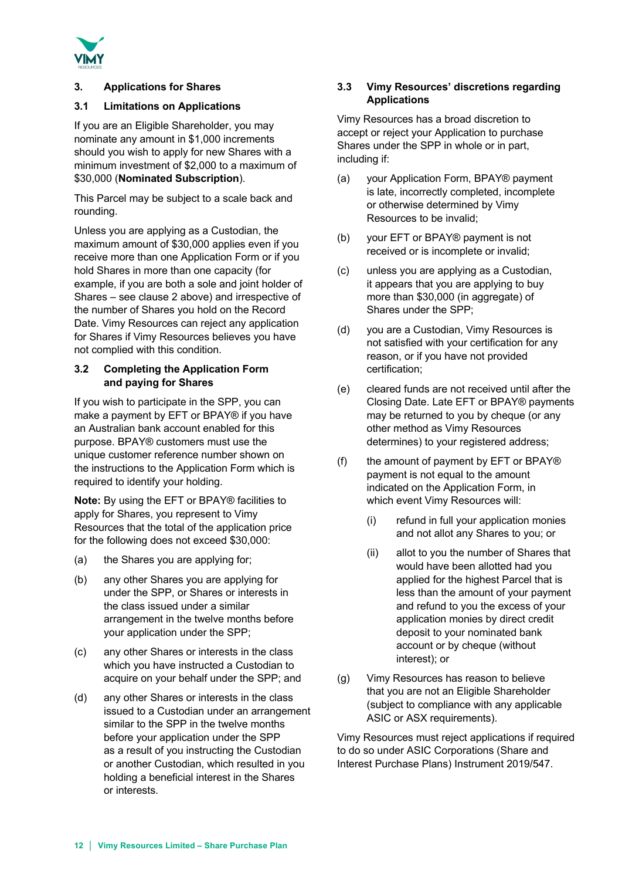

## **3. Applications for Shares**

## **3.1 Limitations on Applications**

If you are an Eligible Shareholder, you may nominate any amount in \$1,000 increments should you wish to apply for new Shares with a minimum investment of \$2,000 to a maximum of \$30,000 (**Nominated Subscription**).

This Parcel may be subject to a scale back and rounding.

Unless you are applying as a Custodian, the maximum amount of \$30,000 applies even if you receive more than one Application Form or if you hold Shares in more than one capacity (for example, if you are both a sole and joint holder of Shares – see clause 2 above) and irrespective of the number of Shares you hold on the Record Date. Vimy Resources can reject any application for Shares if Vimy Resources believes you have not complied with this condition.

## **3.2 Completing the Application Form and paying for Shares**

If you wish to participate in the SPP, you can make a payment by EFT or BPAY® if you have an Australian bank account enabled for this purpose. BPAY® customers must use the unique customer reference number shown on the instructions to the Application Form which is required to identify your holding.

**Note:** By using the EFT or BPAY® facilities to apply for Shares, you represent to Vimy Resources that the total of the application price for the following does not exceed \$30,000:

- (a) the Shares you are applying for;
- (b) any other Shares you are applying for under the SPP, or Shares or interests in the class issued under a similar arrangement in the twelve months before your application under the SPP;
- (c) any other Shares or interests in the class which you have instructed a Custodian to acquire on your behalf under the SPP; and
- (d) any other Shares or interests in the class issued to a Custodian under an arrangement similar to the SPP in the twelve months before your application under the SPP as a result of you instructing the Custodian or another Custodian, which resulted in you holding a beneficial interest in the Shares or interests.

## **3.3 Vimy Resources' discretions regarding Applications**

Vimy Resources has a broad discretion to accept or reject your Application to purchase Shares under the SPP in whole or in part, including if:

- (a) your Application Form, BPAY® payment is late, incorrectly completed, incomplete or otherwise determined by Vimy Resources to be invalid;
- (b) your EFT or BPAY® payment is not received or is incomplete or invalid;
- (c) unless you are applying as a Custodian, it appears that you are applying to buy more than \$30,000 (in aggregate) of Shares under the SPP;
- (d) you are a Custodian, Vimy Resources is not satisfied with your certification for any reason, or if you have not provided certification;
- (e) cleared funds are not received until after the Closing Date. Late EFT or BPAY® payments may be returned to you by cheque (or any other method as Vimy Resources determines) to your registered address;
- (f) the amount of payment by EFT or BPAY $\circledR$ payment is not equal to the amount indicated on the Application Form, in which event Vimy Resources will:
	- (i) refund in full your application monies and not allot any Shares to you; or
	- (ii) allot to you the number of Shares that would have been allotted had you applied for the highest Parcel that is less than the amount of your payment and refund to you the excess of your application monies by direct credit deposit to your nominated bank account or by cheque (without interest); or
- (g) Vimy Resources has reason to believe that you are not an Eligible Shareholder (subject to compliance with any applicable ASIC or ASX requirements).

Vimy Resources must reject applications if required to do so under ASIC Corporations (Share and Interest Purchase Plans) Instrument 2019/547.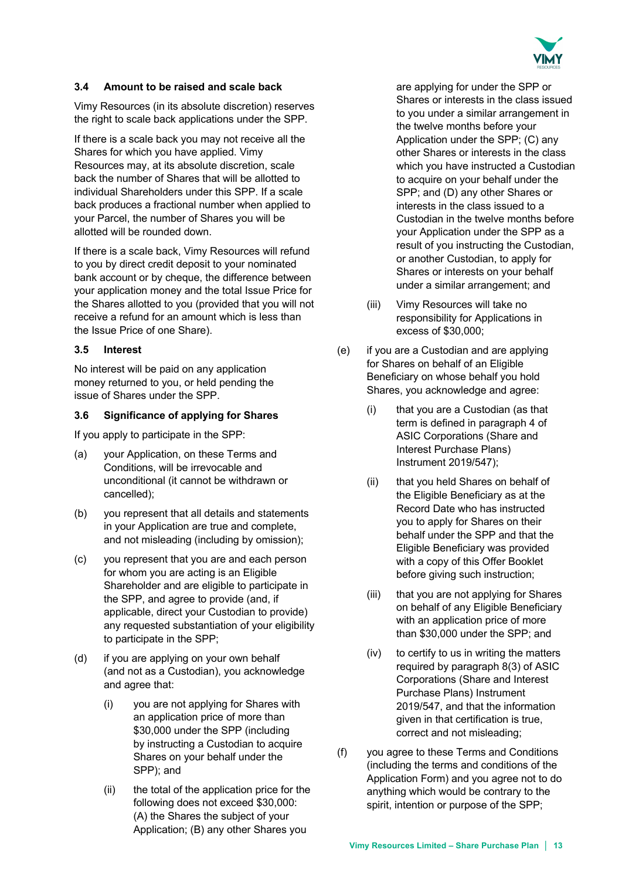

### **3.4 Amount to be raised and scale back**

Vimy Resources (in its absolute discretion) reserves the right to scale back applications under the SPP.

If there is a scale back you may not receive all the Shares for which you have applied. Vimy Resources may, at its absolute discretion, scale back the number of Shares that will be allotted to individual Shareholders under this SPP. If a scale back produces a fractional number when applied to your Parcel, the number of Shares you will be allotted will be rounded down.

If there is a scale back, Vimy Resources will refund to you by direct credit deposit to your nominated bank account or by cheque, the difference between your application money and the total Issue Price for the Shares allotted to you (provided that you will not receive a refund for an amount which is less than the Issue Price of one Share).

## **3.5 Interest**

No interest will be paid on any application money returned to you, or held pending the issue of Shares under the SPP.

#### **3.6 Significance of applying for Shares**

If you apply to participate in the SPP:

- (a) your Application, on these Terms and Conditions, will be irrevocable and unconditional (it cannot be withdrawn or cancelled);
- (b) you represent that all details and statements in your Application are true and complete, and not misleading (including by omission);
- (c) you represent that you are and each person for whom you are acting is an Eligible Shareholder and are eligible to participate in the SPP, and agree to provide (and, if applicable, direct your Custodian to provide) any requested substantiation of your eligibility to participate in the SPP;
- (d) if you are applying on your own behalf (and not as a Custodian), you acknowledge and agree that:
	- (i) you are not applying for Shares with an application price of more than \$30,000 under the SPP (including by instructing a Custodian to acquire Shares on your behalf under the SPP); and
	- (ii) the total of the application price for the following does not exceed \$30,000: (A) the Shares the subject of your Application; (B) any other Shares you

are applying for under the SPP or Shares or interests in the class issued to you under a similar arrangement in the twelve months before your Application under the SPP; (C) any other Shares or interests in the class which you have instructed a Custodian to acquire on your behalf under the SPP; and (D) any other Shares or interests in the class issued to a Custodian in the twelve months before your Application under the SPP as a result of you instructing the Custodian, or another Custodian, to apply for Shares or interests on your behalf under a similar arrangement; and

- (iii) Vimy Resources will take no responsibility for Applications in excess of \$30,000;
- (e) if you are a Custodian and are applying for Shares on behalf of an Eligible Beneficiary on whose behalf you hold Shares, you acknowledge and agree:
	- (i) that you are a Custodian (as that term is defined in paragraph 4 of ASIC Corporations (Share and Interest Purchase Plans) Instrument 2019/547);
	- (ii) that you held Shares on behalf of the Eligible Beneficiary as at the Record Date who has instructed you to apply for Shares on their behalf under the SPP and that the Eligible Beneficiary was provided with a copy of this Offer Booklet before giving such instruction;
	- (iii) that you are not applying for Shares on behalf of any Eligible Beneficiary with an application price of more than \$30,000 under the SPP; and
	- (iv) to certify to us in writing the matters required by paragraph 8(3) of ASIC Corporations (Share and Interest Purchase Plans) Instrument 2019/547, and that the information given in that certification is true, correct and not misleading;
- (f) you agree to these Terms and Conditions (including the terms and conditions of the Application Form) and you agree not to do anything which would be contrary to the spirit, intention or purpose of the SPP;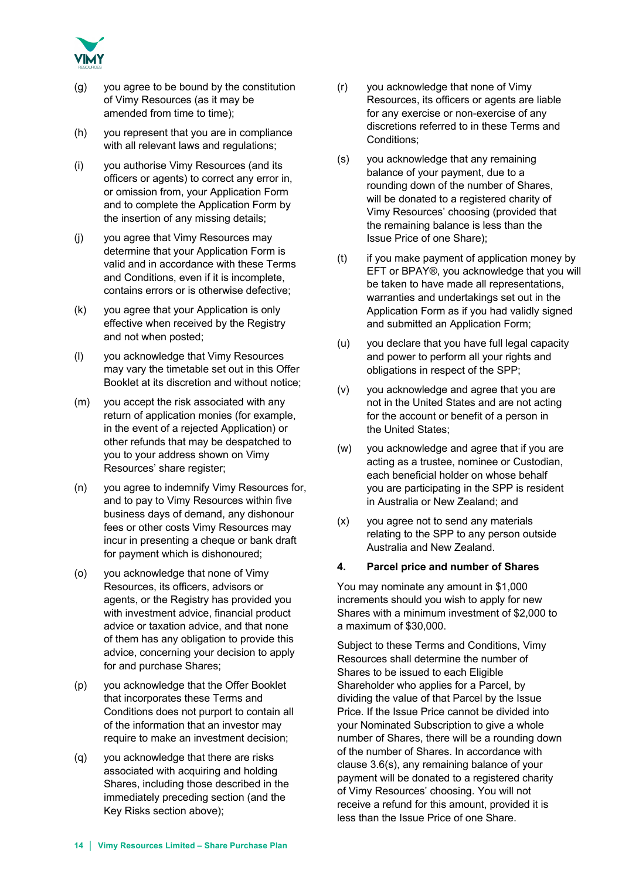

- (g) you agree to be bound by the constitution of Vimy Resources (as it may be amended from time to time);
- (h) you represent that you are in compliance with all relevant laws and regulations;
- (i) you authorise Vimy Resources (and its officers or agents) to correct any error in, or omission from, your Application Form and to complete the Application Form by the insertion of any missing details;
- (j) you agree that Vimy Resources may determine that your Application Form is valid and in accordance with these Terms and Conditions, even if it is incomplete, contains errors or is otherwise defective;
- (k) you agree that your Application is only effective when received by the Registry and not when posted;
- (l) you acknowledge that Vimy Resources may vary the timetable set out in this Offer Booklet at its discretion and without notice;
- (m) you accept the risk associated with any return of application monies (for example, in the event of a rejected Application) or other refunds that may be despatched to you to your address shown on Vimy Resources' share register;
- (n) you agree to indemnify Vimy Resources for, and to pay to Vimy Resources within five business days of demand, any dishonour fees or other costs Vimy Resources may incur in presenting a cheque or bank draft for payment which is dishonoured;
- (o) you acknowledge that none of Vimy Resources, its officers, advisors or agents, or the Registry has provided you with investment advice, financial product advice or taxation advice, and that none of them has any obligation to provide this advice, concerning your decision to apply for and purchase Shares;
- (p) you acknowledge that the Offer Booklet that incorporates these Terms and Conditions does not purport to contain all of the information that an investor may require to make an investment decision;
- (q) you acknowledge that there are risks associated with acquiring and holding Shares, including those described in the immediately preceding section (and the Key Risks section above);
- (r) you acknowledge that none of Vimy Resources, its officers or agents are liable for any exercise or non-exercise of any discretions referred to in these Terms and Conditions;
- (s) you acknowledge that any remaining balance of your payment, due to a rounding down of the number of Shares, will be donated to a registered charity of Vimy Resources' choosing (provided that the remaining balance is less than the Issue Price of one Share);
- $(t)$  if you make payment of application money by EFT or BPAY®, you acknowledge that you will be taken to have made all representations, warranties and undertakings set out in the Application Form as if you had validly signed and submitted an Application Form;
- (u) you declare that you have full legal capacity and power to perform all your rights and obligations in respect of the SPP;
- (v) you acknowledge and agree that you are not in the United States and are not acting for the account or benefit of a person in the United States;
- (w) you acknowledge and agree that if you are acting as a trustee, nominee or Custodian, each beneficial holder on whose behalf you are participating in the SPP is resident in Australia or New Zealand; and
- (x) you agree not to send any materials relating to the SPP to any person outside Australia and New Zealand.

## **4. Parcel price and number of Shares**

You may nominate any amount in \$1,000 increments should you wish to apply for new Shares with a minimum investment of \$2,000 to a maximum of \$30,000.

Subject to these Terms and Conditions, Vimy Resources shall determine the number of Shares to be issued to each Eligible Shareholder who applies for a Parcel, by dividing the value of that Parcel by the Issue Price. If the Issue Price cannot be divided into your Nominated Subscription to give a whole number of Shares, there will be a rounding down of the number of Shares. In accordance with clause 3.6(s), any remaining balance of your payment will be donated to a registered charity of Vimy Resources' choosing. You will not receive a refund for this amount, provided it is less than the Issue Price of one Share.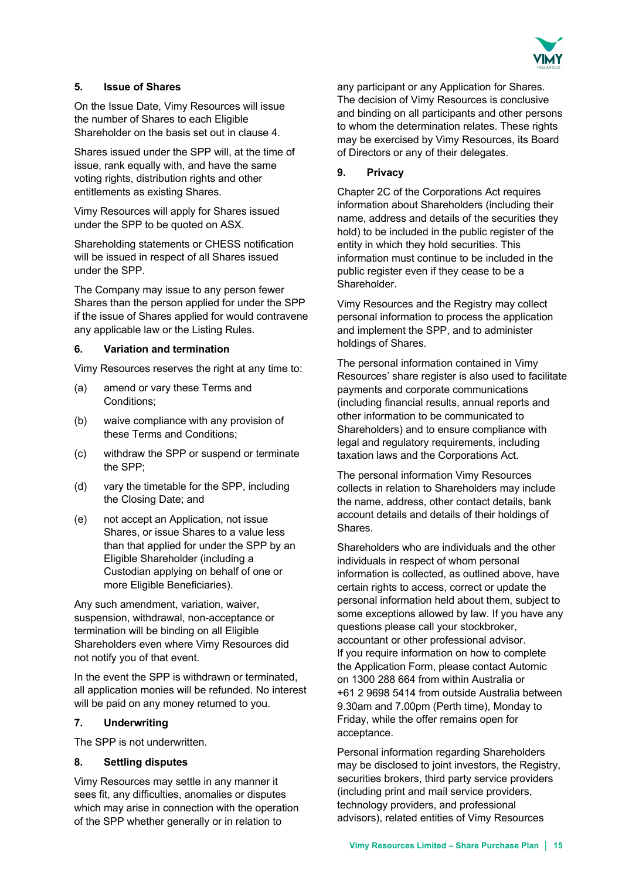

## **5. Issue of Shares**

On the Issue Date, Vimy Resources will issue the number of Shares to each Eligible Shareholder on the basis set out in clause 4.

Shares issued under the SPP will, at the time of issue, rank equally with, and have the same voting rights, distribution rights and other entitlements as existing Shares.

Vimy Resources will apply for Shares issued under the SPP to be quoted on ASX.

Shareholding statements or CHESS notification will be issued in respect of all Shares issued under the SPP.

The Company may issue to any person fewer Shares than the person applied for under the SPP if the issue of Shares applied for would contravene any applicable law or the Listing Rules.

## **6. Variation and termination**

Vimy Resources reserves the right at any time to:

- (a) amend or vary these Terms and Conditions;
- (b) waive compliance with any provision of these Terms and Conditions;
- (c) withdraw the SPP or suspend or terminate the SPP;
- (d) vary the timetable for the SPP, including the Closing Date; and
- (e) not accept an Application, not issue Shares, or issue Shares to a value less than that applied for under the SPP by an Eligible Shareholder (including a Custodian applying on behalf of one or more Eligible Beneficiaries).

Any such amendment, variation, waiver, suspension, withdrawal, non-acceptance or termination will be binding on all Eligible Shareholders even where Vimy Resources did not notify you of that event.

In the event the SPP is withdrawn or terminated, all application monies will be refunded. No interest will be paid on any money returned to you.

## **7. Underwriting**

The SPP is not underwritten.

#### **8. Settling disputes**

Vimy Resources may settle in any manner it sees fit, any difficulties, anomalies or disputes which may arise in connection with the operation of the SPP whether generally or in relation to

any participant or any Application for Shares. The decision of Vimy Resources is conclusive and binding on all participants and other persons to whom the determination relates. These rights may be exercised by Vimy Resources, its Board of Directors or any of their delegates.

## **9. Privacy**

Chapter 2C of the Corporations Act requires information about Shareholders (including their name, address and details of the securities they hold) to be included in the public register of the entity in which they hold securities. This information must continue to be included in the public register even if they cease to be a Shareholder.

Vimy Resources and the Registry may collect personal information to process the application and implement the SPP, and to administer holdings of Shares.

The personal information contained in Vimy Resources' share register is also used to facilitate payments and corporate communications (including financial results, annual reports and other information to be communicated to Shareholders) and to ensure compliance with legal and regulatory requirements, including taxation laws and the Corporations Act.

The personal information Vimy Resources collects in relation to Shareholders may include the name, address, other contact details, bank account details and details of their holdings of Shares.

Shareholders who are individuals and the other individuals in respect of whom personal information is collected, as outlined above, have certain rights to access, correct or update the personal information held about them, subject to some exceptions allowed by law. If you have any questions please call your stockbroker, accountant or other professional advisor. If you require information on how to complete the Application Form, please contact Automic on 1300 288 664 from within Australia or +61 2 9698 5414 from outside Australia between 9.30am and 7.00pm (Perth time), Monday to Friday, while the offer remains open for acceptance.

Personal information regarding Shareholders may be disclosed to joint investors, the Registry, securities brokers, third party service providers (including print and mail service providers, technology providers, and professional advisors), related entities of Vimy Resources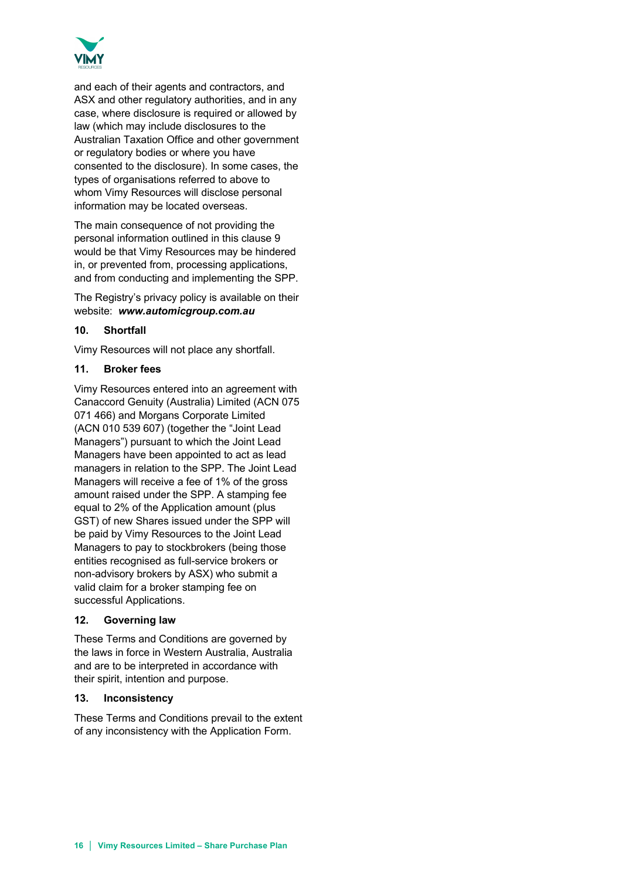

and each of their agents and contractors, and ASX and other regulatory authorities, and in any case, where disclosure is required or allowed by law (which may include disclosures to the Australian Taxation Office and other government or regulatory bodies or where you have consented to the disclosure). In some cases, the types of organisations referred to above to whom Vimy Resources will disclose personal information may be located overseas.

The main consequence of not providing the personal information outlined in this clause 9 would be that Vimy Resources may be hindered in, or prevented from, processing applications, and from conducting and implementing the SPP.

The Registry's privacy policy is available on their website: *www.automicgroup.com.au*

## **10. Shortfall**

Vimy Resources will not place any shortfall.

## **11. Broker fees**

Vimy Resources entered into an agreement with Canaccord Genuity (Australia) Limited (ACN 075 071 466) and Morgans Corporate Limited (ACN 010 539 607) (together the "Joint Lead Managers") pursuant to which the Joint Lead Managers have been appointed to act as lead managers in relation to the SPP. The Joint Lead Managers will receive a fee of 1% of the gross amount raised under the SPP. A stamping fee equal to 2% of the Application amount (plus GST) of new Shares issued under the SPP will be paid by Vimy Resources to the Joint Lead Managers to pay to stockbrokers (being those entities recognised as full-service brokers or non-advisory brokers by ASX) who submit a valid claim for a broker stamping fee on successful Applications.

## **12. Governing law**

These Terms and Conditions are governed by the laws in force in Western Australia, Australia and are to be interpreted in accordance with their spirit, intention and purpose.

## **13. Inconsistency**

These Terms and Conditions prevail to the extent of any inconsistency with the Application Form.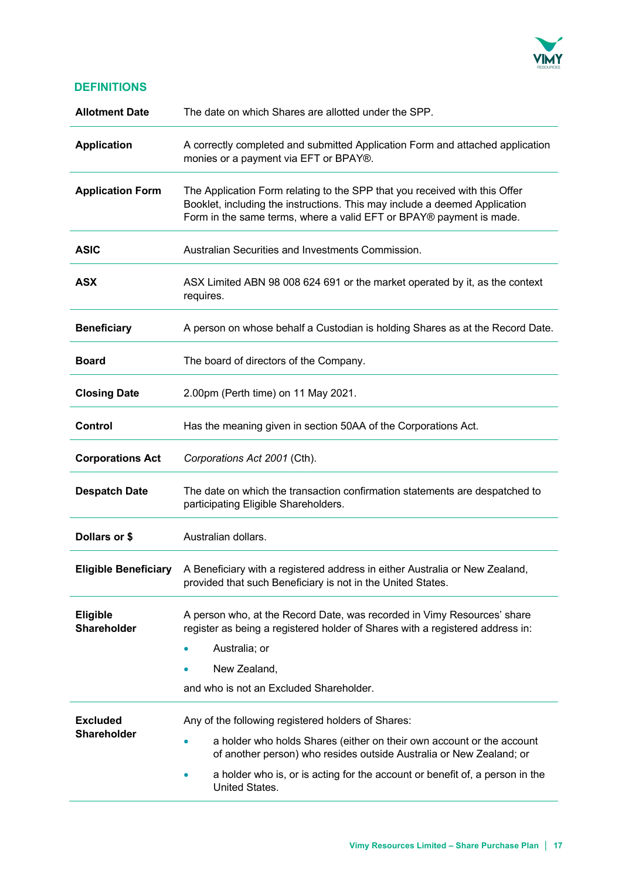

## **DEFINITIONS**

| <b>Allotment Date</b>                 | The date on which Shares are allotted under the SPP.                                                                                                                                                                                 |  |
|---------------------------------------|--------------------------------------------------------------------------------------------------------------------------------------------------------------------------------------------------------------------------------------|--|
| <b>Application</b>                    | A correctly completed and submitted Application Form and attached application<br>monies or a payment via EFT or BPAY®.                                                                                                               |  |
| <b>Application Form</b>               | The Application Form relating to the SPP that you received with this Offer<br>Booklet, including the instructions. This may include a deemed Application<br>Form in the same terms, where a valid EFT or BPAY® payment is made.      |  |
| <b>ASIC</b>                           | Australian Securities and Investments Commission.                                                                                                                                                                                    |  |
| <b>ASX</b>                            | ASX Limited ABN 98 008 624 691 or the market operated by it, as the context<br>requires.                                                                                                                                             |  |
| <b>Beneficiary</b>                    | A person on whose behalf a Custodian is holding Shares as at the Record Date.                                                                                                                                                        |  |
| <b>Board</b>                          | The board of directors of the Company.                                                                                                                                                                                               |  |
| <b>Closing Date</b>                   | 2.00pm (Perth time) on 11 May 2021.                                                                                                                                                                                                  |  |
| <b>Control</b>                        | Has the meaning given in section 50AA of the Corporations Act.                                                                                                                                                                       |  |
| <b>Corporations Act</b>               | Corporations Act 2001 (Cth).                                                                                                                                                                                                         |  |
| <b>Despatch Date</b>                  | The date on which the transaction confirmation statements are despatched to<br>participating Eligible Shareholders.                                                                                                                  |  |
| Dollars or \$                         | Australian dollars.                                                                                                                                                                                                                  |  |
| <b>Eligible Beneficiary</b>           | A Beneficiary with a registered address in either Australia or New Zealand,<br>provided that such Beneficiary is not in the United States.                                                                                           |  |
| <b>Eligible</b><br><b>Shareholder</b> | A person who, at the Record Date, was recorded in Vimy Resources' share<br>register as being a registered holder of Shares with a registered address in:<br>Australia; or<br>New Zealand,<br>and who is not an Excluded Shareholder. |  |
| <b>Excluded</b>                       | Any of the following registered holders of Shares:                                                                                                                                                                                   |  |
| <b>Shareholder</b>                    | a holder who holds Shares (either on their own account or the account<br>of another person) who resides outside Australia or New Zealand; or                                                                                         |  |
|                                       | a holder who is, or is acting for the account or benefit of, a person in the<br>United States.                                                                                                                                       |  |